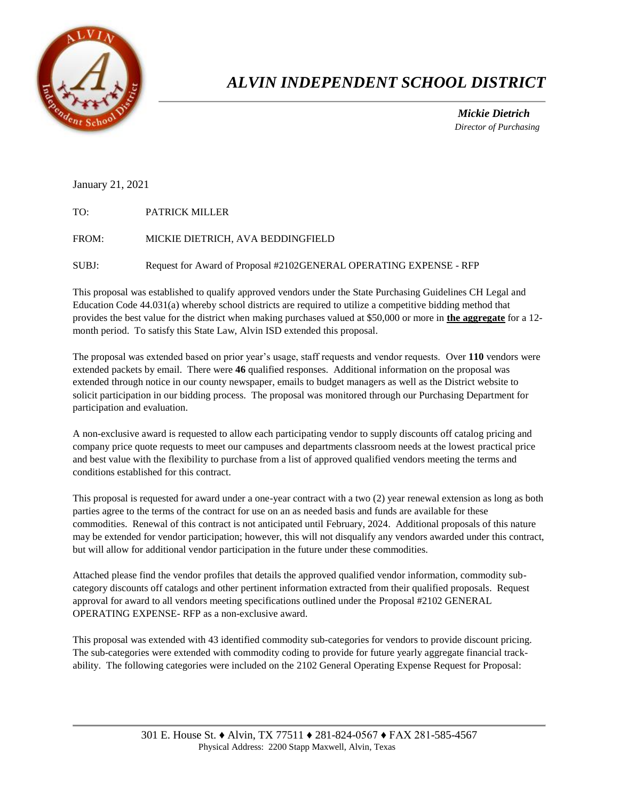

# *ALVIN INDEPENDENT SCHOOL DISTRICT*

 *Mickie Dietrich Director of Purchasing*

### January 21, 2021

| PATRICK MILLER                                                     |
|--------------------------------------------------------------------|
| MICKIE DIETRICH, AVA BEDDINGFIELD                                  |
| Request for Award of Proposal #2102GENERAL OPERATING EXPENSE - RFP |
|                                                                    |

This proposal was established to qualify approved vendors under the State Purchasing Guidelines CH Legal and Education Code 44.031(a) whereby school districts are required to utilize a competitive bidding method that provides the best value for the district when making purchases valued at \$50,000 or more in **the aggregate** for a 12 month period. To satisfy this State Law, Alvin ISD extended this proposal.

The proposal was extended based on prior year's usage, staff requests and vendor requests. Over **110** vendors were extended packets by email. There were **46** qualified responses. Additional information on the proposal was extended through notice in our county newspaper, emails to budget managers as well as the District website to solicit participation in our bidding process. The proposal was monitored through our Purchasing Department for participation and evaluation.

A non-exclusive award is requested to allow each participating vendor to supply discounts off catalog pricing and company price quote requests to meet our campuses and departments classroom needs at the lowest practical price and best value with the flexibility to purchase from a list of approved qualified vendors meeting the terms and conditions established for this contract.

This proposal is requested for award under a one-year contract with a two (2) year renewal extension as long as both parties agree to the terms of the contract for use on an as needed basis and funds are available for these commodities. Renewal of this contract is not anticipated until February, 2024. Additional proposals of this nature may be extended for vendor participation; however, this will not disqualify any vendors awarded under this contract, but will allow for additional vendor participation in the future under these commodities.

Attached please find the vendor profiles that details the approved qualified vendor information, commodity subcategory discounts off catalogs and other pertinent information extracted from their qualified proposals. Request approval for award to all vendors meeting specifications outlined under the Proposal #2102 GENERAL OPERATING EXPENSE- RFP as a non-exclusive award.

This proposal was extended with 43 identified commodity sub-categories for vendors to provide discount pricing. The sub-categories were extended with commodity coding to provide for future yearly aggregate financial trackability. The following categories were included on the 2102 General Operating Expense Request for Proposal: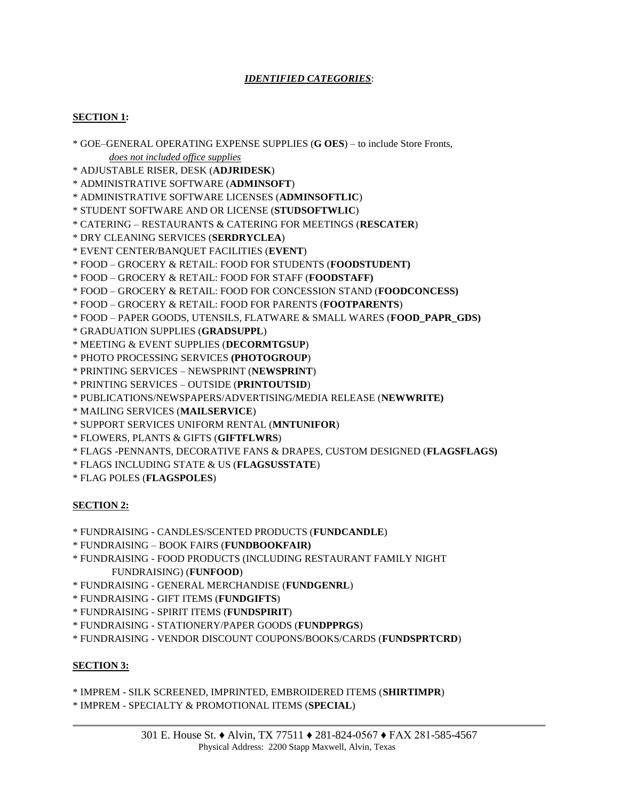## *IDENTIFIED CATEGORIES*:

## **SECTION 1:**

\* GOE–GENERAL OPERATING EXPENSE SUPPLIES (**G OES**) – to include Store Fronts, *does not included office supplies*

\* ADJUSTABLE RISER, DESK (**ADJRIDESK**)

\* ADMINISTRATIVE SOFTWARE (**ADMINSOFT**)

\* ADMINISTRATIVE SOFTWARE LICENSES (**ADMINSOFTLIC**)

\* STUDENT SOFTWARE AND OR LICENSE (**STUDSOFTWLIC**)

\* CATERING – RESTAURANTS & CATERING FOR MEETINGS (**RESCATER**)

- \* DRY CLEANING SERVICES (**SERDRYCLEA**)
- \* EVENT CENTER/BANQUET FACILITIES (**EVENT**)

\* FOOD – GROCERY & RETAIL: FOOD FOR STUDENTS (**FOODSTUDENT)**

\* FOOD – GROCERY & RETAIL: FOOD FOR STAFF (**FOODSTAFF)**

\* FOOD – GROCERY & RETAIL: FOOD FOR CONCESSION STAND (**FOODCONCESS)**

\* FOOD – GROCERY & RETAIL: FOOD FOR PARENTS (**FOOTPARENTS**)

\* FOOD – PAPER GOODS, UTENSILS, FLATWARE & SMALL WARES (**FOOD\_PAPR\_GDS)**

\* GRADUATION SUPPLIES (**GRADSUPPL**)

\* MEETING & EVENT SUPPLIES (**DECORMTGSUP**)

\* PHOTO PROCESSING SERVICES **(PHOTOGROUP**)

\* PRINTING SERVICES – NEWSPRINT (**NEWSPRINT**)

\* PRINTING SERVICES – OUTSIDE (**PRINTOUTSID**)

\* PUBLICATIONS/NEWSPAPERS/ADVERTISING/MEDIA RELEASE (**NEWWRITE)**

\* MAILING SERVICES (**MAILSERVICE**)

\* SUPPORT SERVICES UNIFORM RENTAL (**MNTUNIFOR**)

\* FLOWERS, PLANTS & GIFTS (**GIFTFLWRS**)

\* FLAGS -PENNANTS, DECORATIVE FANS & DRAPES, CUSTOM DESIGNED (**FLAGSFLAGS)**

\* FLAGS INCLUDING STATE & US (**FLAGSUSSTATE**)

\* FLAG POLES (**FLAGSPOLES**)

#### **SECTION 2:**

- \* FUNDRAISING CANDLES/SCENTED PRODUCTS (**FUNDCANDLE**)
- \* FUNDRAISING BOOK FAIRS (**FUNDBOOKFAIR)**
- \* FUNDRAISING FOOD PRODUCTS (INCLUDING RESTAURANT FAMILY NIGHT FUNDRAISING) (**FUNFOOD**)
- \* FUNDRAISING GENERAL MERCHANDISE (**FUNDGENRL**)
- \* FUNDRAISING GIFT ITEMS (**FUNDGIFTS**)
- \* FUNDRAISING SPIRIT ITEMS (**FUNDSPIRIT**)
- \* FUNDRAISING STATIONERY/PAPER GOODS (**FUNDPPRGS**)
- \* FUNDRAISING VENDOR DISCOUNT COUPONS/BOOKS/CARDS (**FUNDSPRTCRD**)

#### **SECTION 3:**

\* IMPREM - SILK SCREENED, IMPRINTED, EMBROIDERED ITEMS (**SHIRTIMPR**)

\* IMPREM - SPECIALTY & PROMOTIONAL ITEMS (**SPECIAL**)